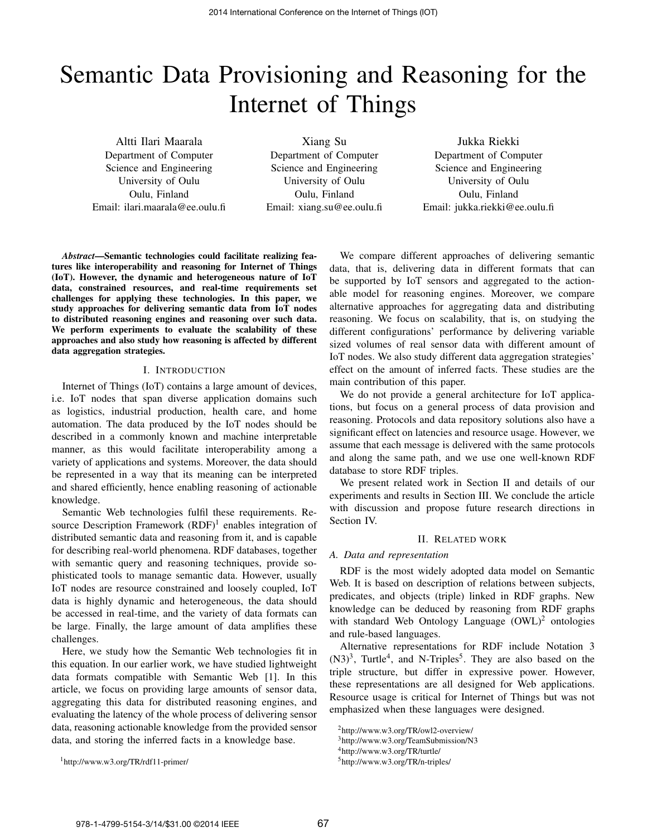# Semantic Data Provisioning and Reasoning for the Internet of Things

Altti Ilari Maarala Department of Computer Science and Engineering University of Oulu Oulu, Finland Email: ilari.maarala@ee.oulu.fi

Xiang Su Department of Computer Science and Engineering University of Oulu Oulu, Finland Email: xiang.su@ee.oulu.fi

Jukka Riekki Department of Computer Science and Engineering University of Oulu Oulu, Finland Email: jukka.riekki@ee.oulu.fi

*Abstract*—Semantic technologies could facilitate realizing features like interoperability and reasoning for Internet of Things (IoT). However, the dynamic and heterogeneous nature of IoT data, constrained resources, and real-time requirements set challenges for applying these technologies. In this paper, we study approaches for delivering semantic data from IoT nodes to distributed reasoning engines and reasoning over such data. We perform experiments to evaluate the scalability of these approaches and also study how reasoning is affected by different data aggregation strategies.

#### I. INTRODUCTION

Internet of Things (IoT) contains a large amount of devices, i.e. IoT nodes that span diverse application domains such as logistics, industrial production, health care, and home automation. The data produced by the IoT nodes should be described in a commonly known and machine interpretable manner, as this would facilitate interoperability among a variety of applications and systems. Moreover, the data should be represented in a way that its meaning can be interpreted and shared efficiently, hence enabling reasoning of actionable knowledge.

Semantic Web technologies fulfil these requirements. Resource Description Framework  $(RDF)^1$  enables integration of distributed semantic data and reasoning from it, and is capable for describing real-world phenomena. RDF databases, together with semantic query and reasoning techniques, provide sophisticated tools to manage semantic data. However, usually IoT nodes are resource constrained and loosely coupled, IoT data is highly dynamic and heterogeneous, the data should be accessed in real-time, and the variety of data formats can be large. Finally, the large amount of data amplifies these challenges.

Here, we study how the Semantic Web technologies fit in this equation. In our earlier work, we have studied lightweight data formats compatible with Semantic Web [1]. In this article, we focus on providing large amounts of sensor data, aggregating this data for distributed reasoning engines, and evaluating the latency of the whole process of delivering sensor data, reasoning actionable knowledge from the provided sensor data, and storing the inferred facts in a knowledge base.

<sup>1</sup>http://www.w3.org/TR/rdf11-primer/

We compare different approaches of delivering semantic data, that is, delivering data in different formats that can be supported by IoT sensors and aggregated to the actionable model for reasoning engines. Moreover, we compare alternative approaches for aggregating data and distributing reasoning. We focus on scalability, that is, on studying the different configurations' performance by delivering variable sized volumes of real sensor data with different amount of IoT nodes. We also study different data aggregation strategies' effect on the amount of inferred facts. These studies are the main contribution of this paper.

We do not provide a general architecture for IoT applications, but focus on a general process of data provision and reasoning. Protocols and data repository solutions also have a significant effect on latencies and resource usage. However, we assume that each message is delivered with the same protocols and along the same path, and we use one well-known RDF database to store RDF triples.

We present related work in Section II and details of our experiments and results in Section III. We conclude the article with discussion and propose future research directions in Section IV.

#### II. RELATED WORK

#### *A. Data and representation*

RDF is the most widely adopted data model on Semantic Web. It is based on description of relations between subjects, predicates, and objects (triple) linked in RDF graphs. New knowledge can be deduced by reasoning from RDF graphs with standard Web Ontology Language  $(OWL)^2$  ontologies and rule-based languages.

Alternative representations for RDF include Notation 3  $(N3)<sup>3</sup>$ , Turtle<sup>4</sup>, and N-Triples<sup>5</sup>. They are also based on the triple structure, but differ in expressive power. However, these representations are all designed for Web applications. Resource usage is critical for Internet of Things but was not emphasized when these languages were designed.

<sup>2</sup>http://www.w3.org/TR/owl2-overview/

<sup>3</sup>http://www.w3.org/TeamSubmission/N3

<sup>4</sup>http://www.w3.org/TR/turtle/

<sup>5</sup>http://www.w3.org/TR/n-triples/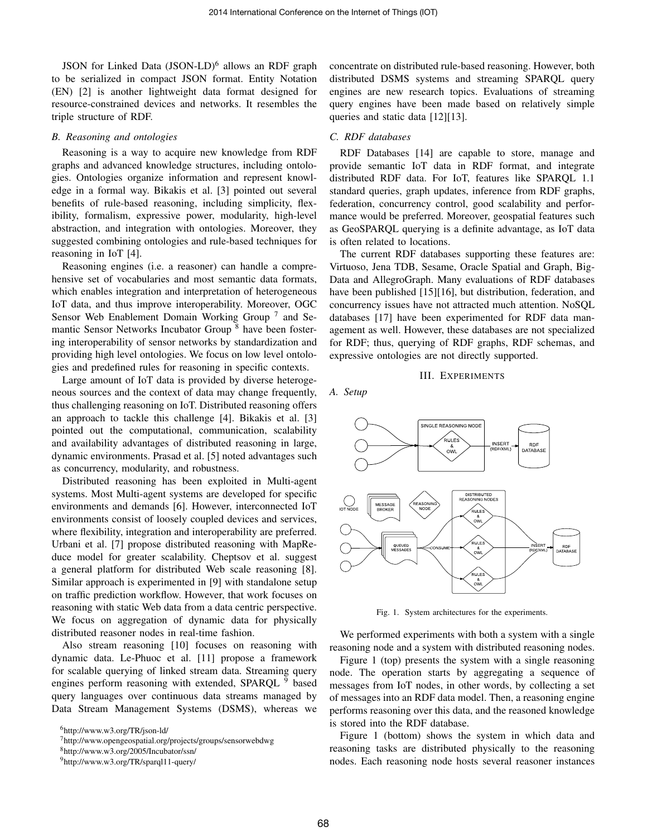JSON for Linked Data (JSON-LD)<sup>6</sup> allows an RDF graph to be serialized in compact JSON format. Entity Notation (EN) [2] is another lightweight data format designed for resource-constrained devices and networks. It resembles the triple structure of RDF.

#### *B. Reasoning and ontologies*

Reasoning is a way to acquire new knowledge from RDF graphs and advanced knowledge structures, including ontologies. Ontologies organize information and represent knowledge in a formal way. Bikakis et al. [3] pointed out several benefits of rule-based reasoning, including simplicity, flexibility, formalism, expressive power, modularity, high-level abstraction, and integration with ontologies. Moreover, they suggested combining ontologies and rule-based techniques for reasoning in IoT [4].

Reasoning engines (i.e. a reasoner) can handle a comprehensive set of vocabularies and most semantic data formats, which enables integration and interpretation of heterogeneous IoT data, and thus improve interoperability. Moreover, OGC Sensor Web Enablement Domain Working Group<sup>7</sup> and Semantic Sensor Networks Incubator Group<sup>8</sup> have been fostering interoperability of sensor networks by standardization and providing high level ontologies. We focus on low level ontologies and predefined rules for reasoning in specific contexts.

Large amount of IoT data is provided by diverse heterogeneous sources and the context of data may change frequently, thus challenging reasoning on IoT. Distributed reasoning offers an approach to tackle this challenge [4]. Bikakis et al. [3] pointed out the computational, communication, scalability and availability advantages of distributed reasoning in large, dynamic environments. Prasad et al. [5] noted advantages such as concurrency, modularity, and robustness.

Distributed reasoning has been exploited in Multi-agent systems. Most Multi-agent systems are developed for specific environments and demands [6]. However, interconnected IoT environments consist of loosely coupled devices and services, where flexibility, integration and interoperability are preferred. Urbani et al. [7] propose distributed reasoning with MapReduce model for greater scalability. Cheptsov et al. suggest a general platform for distributed Web scale reasoning [8]. Similar approach is experimented in [9] with standalone setup on traffic prediction workflow. However, that work focuses on reasoning with static Web data from a data centric perspective. We focus on aggregation of dynamic data for physically distributed reasoner nodes in real-time fashion.

Also stream reasoning [10] focuses on reasoning with dynamic data. Le-Phuoc et al. [11] propose a framework for scalable querying of linked stream data. Streaming query engines perform reasoning with extended, SPAROL <sup>9</sup> based query languages over continuous data streams managed by Data Stream Management Systems (DSMS), whereas we concentrate on distributed rule-based reasoning. However, both distributed DSMS systems and streaming SPARQL query engines are new research topics. Evaluations of streaming query engines have been made based on relatively simple queries and static data [12][13].

# *C. RDF databases*

RDF Databases [14] are capable to store, manage and provide semantic IoT data in RDF format, and integrate distributed RDF data. For IoT, features like SPARQL 1.1 standard queries, graph updates, inference from RDF graphs, federation, concurrency control, good scalability and performance would be preferred. Moreover, geospatial features such as GeoSPARQL querying is a definite advantage, as IoT data is often related to locations.

The current RDF databases supporting these features are: Virtuoso, Jena TDB, Sesame, Oracle Spatial and Graph, Big-Data and AllegroGraph. Many evaluations of RDF databases have been published [15][16], but distribution, federation, and concurrency issues have not attracted much attention. NoSQL databases [17] have been experimented for RDF data management as well. However, these databases are not specialized for RDF; thus, querying of RDF graphs, RDF schemas, and expressive ontologies are not directly supported.

#### III. EXPERIMENTS

*A. Setup*



Fig. 1. System architectures for the experiments.

We performed experiments with both a system with a single reasoning node and a system with distributed reasoning nodes.

Figure 1 (top) presents the system with a single reasoning node. The operation starts by aggregating a sequence of messages from IoT nodes, in other words, by collecting a set of messages into an RDF data model. Then, a reasoning engine performs reasoning over this data, and the reasoned knowledge is stored into the RDF database.

Figure 1 (bottom) shows the system in which data and reasoning tasks are distributed physically to the reasoning nodes. Each reasoning node hosts several reasoner instances

<sup>6</sup>http://www.w3.org/TR/json-ld/

<sup>7</sup>http://www.opengeospatial.org/projects/groups/sensorwebdwg

<sup>8</sup>http://www.w3.org/2005/Incubator/ssn/

<sup>9</sup>http://www.w3.org/TR/sparql11-query/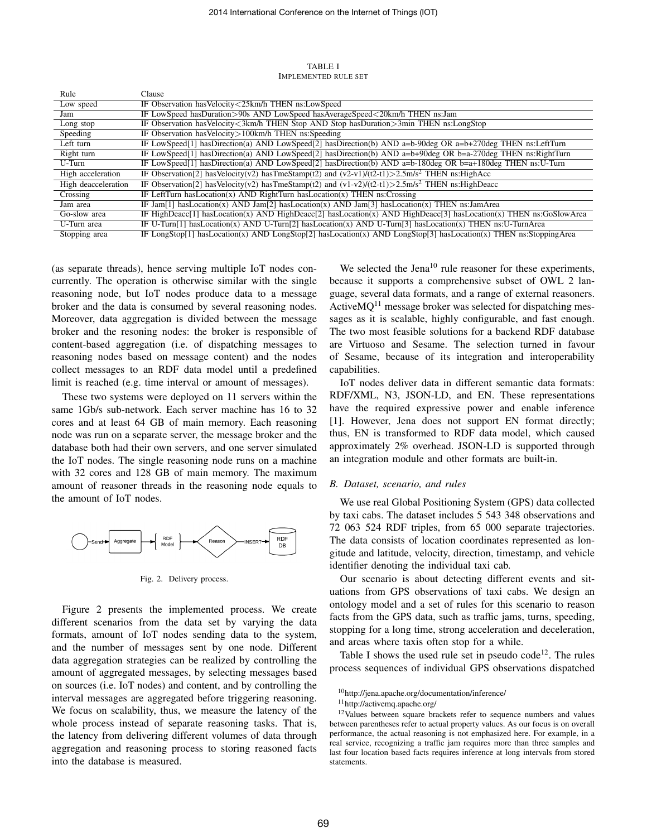TABLE I IMPLEMENTED RULE SET

| Rule                | Clause                                                                                                                |
|---------------------|-----------------------------------------------------------------------------------------------------------------------|
| Low speed           | IF Observation has Velocity < 25km/h THEN ns: Low Speed                                                               |
| Jam                 | IF LowSpeed hasDuration>90s AND LowSpeed hasAverageSpeed<20km/h THEN ns:Jam                                           |
| Long stop           | IF Observation has Velocity < 3km/h THEN Stop AND Stop has Duration > 3min THEN ns: LongStop                          |
| Speeding            | IF Observation has Velocity > 100km/h THEN ns: Speeding                                                               |
| Left turn           | IF LowSpeed[1] hasDirection(a) AND LowSpeed[2] hasDirection(b) AND a=b-90deg OR a=b+270deg THEN ns:LeftTurn           |
| Right turn          | IF LowSpeed[1] hasDirection(a) AND LowSpeed[2] hasDirection(b) AND a=b+90deg OR b=a-270deg THEN ns:RightTurn          |
| U-Turn              | IF LowSpeed[1] hasDirection(a) AND LowSpeed[2] hasDirection(b) AND a=b-180deg OR b=a+180deg THEN ns:U-Turn            |
| High acceleration   | IF Observation[2] has Velocity(v2) has TmeStamp(t2) and (v2-v1)/(t2-t1)>2.5m/s <sup>2</sup> THEN ns: HighAcc          |
| High deacceleration | IF Observation[2] has Velocity(v2) has TmeStamp(t2) and (v1-v2)/(t2-t1)>2.5m/s <sup>2</sup> THEN ns:HighDeacc         |
| Crossing            | IF LeftTurn has Location(x) AND RightTurn has Location(x) THEN ns: Crossing                                           |
| Jam area            | IF Jam[1] has Location(x) AND Jam[2] has Location(x) AND Jam[3] has Location(x) THEN ns: JamArea                      |
| Go-slow area        | IF HighDeacc[1] hasLocation(x) AND HighDeacc[2] hasLocation(x) AND HighDeacc[3] hasLocation(x) THEN ns:GoSlowArea     |
| U-Turn area         | IF U-Turn $[1]$ has Location(x) AND U-Turn $[2]$ has Location(x) AND U-Turn $[3]$ has Location(x) THEN ns: U-TurnArea |
| Stopping area       | IF LongStop[1] hasLocation(x) AND LongStop[2] hasLocation(x) AND LongStop[3] hasLocation(x) THEN ns:StoppingArea      |

(as separate threads), hence serving multiple IoT nodes concurrently. The operation is otherwise similar with the single reasoning node, but IoT nodes produce data to a message broker and the data is consumed by several reasoning nodes. Moreover, data aggregation is divided between the message broker and the resoning nodes: the broker is responsible of content-based aggregation (i.e. of dispatching messages to reasoning nodes based on message content) and the nodes collect messages to an RDF data model until a predefined limit is reached (e.g. time interval or amount of messages).

These two systems were deployed on 11 servers within the same 1Gb/s sub-network. Each server machine has 16 to 32 cores and at least 64 GB of main memory. Each reasoning node was run on a separate server, the message broker and the database both had their own servers, and one server simulated the IoT nodes. The single reasoning node runs on a machine with 32 cores and 128 GB of main memory. The maximum amount of reasoner threads in the reasoning node equals to the amount of IoT nodes.



Fig. 2. Delivery process.

Figure 2 presents the implemented process. We create different scenarios from the data set by varying the data formats, amount of IoT nodes sending data to the system, and the number of messages sent by one node. Different data aggregation strategies can be realized by controlling the amount of aggregated messages, by selecting messages based on sources (i.e. IoT nodes) and content, and by controlling the interval messages are aggregated before triggering reasoning. We focus on scalability, thus, we measure the latency of the whole process instead of separate reasoning tasks. That is, the latency from delivering different volumes of data through aggregation and reasoning process to storing reasoned facts into the database is measured.

We selected the Jena<sup>10</sup> rule reasoner for these experiments, because it supports a comprehensive subset of OWL 2 language, several data formats, and a range of external reasoners. Active $MQ<sup>11</sup>$  message broker was selected for dispatching messages as it is scalable, highly configurable, and fast enough. The two most feasible solutions for a backend RDF database are Virtuoso and Sesame. The selection turned in favour of Sesame, because of its integration and interoperability capabilities.

IoT nodes deliver data in different semantic data formats: RDF/XML, N3, JSON-LD, and EN. These representations have the required expressive power and enable inference [1]. However, Jena does not support EN format directly; thus, EN is transformed to RDF data model, which caused approximately 2% overhead. JSON-LD is supported through an integration module and other formats are built-in.

#### *B. Dataset, scenario, and rules*

We use real Global Positioning System (GPS) data collected by taxi cabs. The dataset includes 5 543 348 observations and 72 063 524 RDF triples, from 65 000 separate trajectories. The data consists of location coordinates represented as longitude and latitude, velocity, direction, timestamp, and vehicle identifier denoting the individual taxi cab.

Our scenario is about detecting different events and situations from GPS observations of taxi cabs. We design an ontology model and a set of rules for this scenario to reason facts from the GPS data, such as traffic jams, turns, speeding, stopping for a long time, strong acceleration and deceleration, and areas where taxis often stop for a while.

Table I shows the used rule set in pseudo  $\text{code}^{12}$ . The rules process sequences of individual GPS observations dispatched

<sup>10</sup>http://jena.apache.org/documentation/inference/

<sup>11</sup>http://activemq.apache.org/

<sup>&</sup>lt;sup>12</sup>Values between square brackets refer to sequence numbers and values between parentheses refer to actual property values. As our focus is on overall performance, the actual reasoning is not emphasized here. For example, in a real service, recognizing a traffic jam requires more than three samples and last four location based facts requires inference at long intervals from stored statements.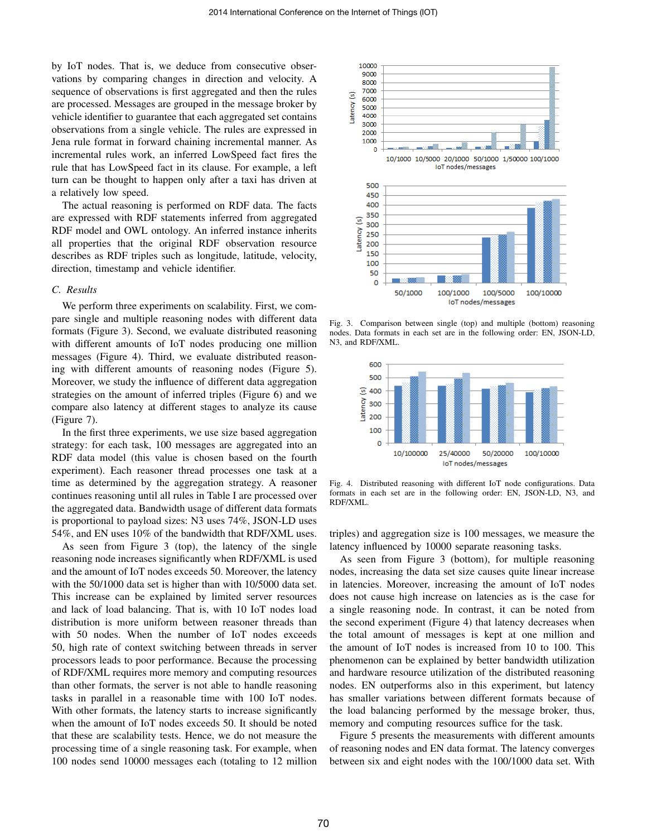by IoT nodes. That is, we deduce from consecutive observations by comparing changes in direction and velocity. A sequence of observations is first aggregated and then the rules are processed. Messages are grouped in the message broker by vehicle identifier to guarantee that each aggregated set contains observations from a single vehicle. The rules are expressed in Jena rule format in forward chaining incremental manner. As incremental rules work, an inferred LowSpeed fact fires the rule that has LowSpeed fact in its clause. For example, a left turn can be thought to happen only after a taxi has driven at a relatively low speed.

The actual reasoning is performed on RDF data. The facts are expressed with RDF statements inferred from aggregated RDF model and OWL ontology. An inferred instance inherits all properties that the original RDF observation resource describes as RDF triples such as longitude, latitude, velocity, direction, timestamp and vehicle identifier.

# *C. Results*

We perform three experiments on scalability. First, we compare single and multiple reasoning nodes with different data formats (Figure 3). Second, we evaluate distributed reasoning with different amounts of IoT nodes producing one million messages (Figure 4). Third, we evaluate distributed reasoning with different amounts of reasoning nodes (Figure 5). Moreover, we study the influence of different data aggregation strategies on the amount of inferred triples (Figure 6) and we compare also latency at different stages to analyze its cause (Figure 7).

In the first three experiments, we use size based aggregation strategy: for each task, 100 messages are aggregated into an RDF data model (this value is chosen based on the fourth experiment). Each reasoner thread processes one task at a time as determined by the aggregation strategy. A reasoner continues reasoning until all rules in Table I are processed over the aggregated data. Bandwidth usage of different data formats is proportional to payload sizes: N3 uses 74%, JSON-LD uses 54%, and EN uses 10% of the bandwidth that RDF/XML uses.

As seen from Figure 3 (top), the latency of the single reasoning node increases significantly when RDF/XML is used and the amount of IoT nodes exceeds 50. Moreover, the latency with the 50/1000 data set is higher than with 10/5000 data set. This increase can be explained by limited server resources and lack of load balancing. That is, with 10 IoT nodes load distribution is more uniform between reasoner threads than with 50 nodes. When the number of IoT nodes exceeds 50, high rate of context switching between threads in server processors leads to poor performance. Because the processing of RDF/XML requires more memory and computing resources than other formats, the server is not able to handle reasoning tasks in parallel in a reasonable time with 100 IoT nodes. With other formats, the latency starts to increase significantly when the amount of IoT nodes exceeds 50. It should be noted that these are scalability tests. Hence, we do not measure the processing time of a single reasoning task. For example, when 100 nodes send 10000 messages each (totaling to 12 million



Fig. 3. Comparison between single (top) and multiple (bottom) reasoning nodes. Data formats in each set are in the following order: EN, JSON-LD, N3, and RDF/XML.



Fig. 4. Distributed reasoning with different IoT node configurations. Data formats in each set are in the following order: EN, JSON-LD, N3, and RDF/XML.

triples) and aggregation size is 100 messages, we measure the latency influenced by 10000 separate reasoning tasks.

As seen from Figure 3 (bottom), for multiple reasoning nodes, increasing the data set size causes quite linear increase in latencies. Moreover, increasing the amount of IoT nodes does not cause high increase on latencies as is the case for a single reasoning node. In contrast, it can be noted from the second experiment (Figure 4) that latency decreases when the total amount of messages is kept at one million and the amount of IoT nodes is increased from 10 to 100. This phenomenon can be explained by better bandwidth utilization and hardware resource utilization of the distributed reasoning nodes. EN outperforms also in this experiment, but latency has smaller variations between different formats because of the load balancing performed by the message broker, thus, memory and computing resources suffice for the task.

Figure 5 presents the measurements with different amounts of reasoning nodes and EN data format. The latency converges between six and eight nodes with the 100/1000 data set. With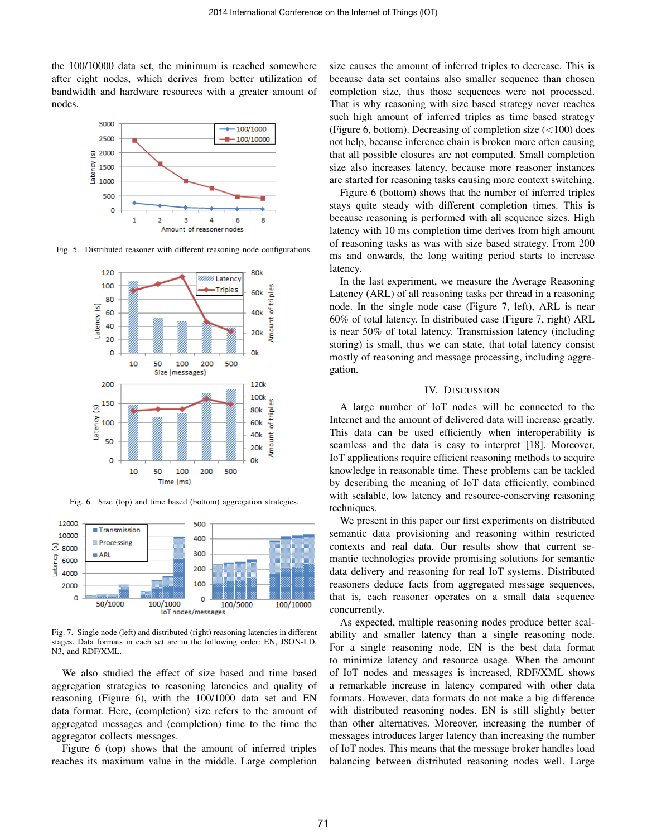the 100/10000 data set, the minimum is reached somewhere after eight nodes, which derives from better utilization of bandwidth and hardware resources with a greater amount of nodes.



Fig. 5. Distributed reasoner with different reasoning node configurations.



Fig. 6. Size (top) and time based (bottom) aggregation strategies.



Fig. 7. Single node (left) and distributed (right) reasoning latencies in different stages. Data formats in each set are in the following order: EN, JSON-LD, N3, and RDF/XML.

We also studied the effect of size based and time based aggregation strategies to reasoning latencies and quality of reasoning (Figure 6), with the 100/1000 data set and EN data format. Here, (completion) size refers to the amount of aggregated messages and (completion) time to the time the aggregator collects messages.

Figure 6 (top) shows that the amount of inferred triples reaches its maximum value in the middle. Large completion size causes the amount of inferred triples to decrease. This is because data set contains also smaller sequence than chosen completion size, thus those sequences were not processed. That is why reasoning with size based strategy never reaches such high amount of inferred triples as time based strategy (Figure 6, bottom). Decreasing of completion size  $(<100)$  does not help, because inference chain is broken more often causing that all possible closures are not computed. Small completion size also increases latency, because more reasoner instances are started for reasoning tasks causing more context switching.

Figure 6 (bottom) shows that the number of inferred triples stays quite steady with different completion times. This is because reasoning is performed with all sequence sizes. High latency with 10 ms completion time derives from high amount of reasoning tasks as was with size based strategy. From 200 ms and onwards, the long waiting period starts to increase latency.

In the last experiment, we measure the Average Reasoning Latency (ARL) of all reasoning tasks per thread in a reasoning node. In the single node case (Figure 7, left), ARL is near 60% of total latency. In distributed case (Figure 7, right) ARL is near 50% of total latency. Transmission latency (including storing) is small, thus we can state, that total latency consist mostly of reasoning and message processing, including aggregation.

## IV. DISCUSSION

A large number of IoT nodes will be connected to the Internet and the amount of delivered data will increase greatly. This data can be used efficiently when interoperability is seamless and the data is easy to interpret [18]. Moreover, IoT applications require efficient reasoning methods to acquire knowledge in reasonable time. These problems can be tackled by describing the meaning of IoT data efficiently, combined with scalable, low latency and resource-conserving reasoning techniques.

We present in this paper our first experiments on distributed semantic data provisioning and reasoning within restricted contexts and real data. Our results show that current semantic technologies provide promising solutions for semantic data delivery and reasoning for real IoT systems. Distributed reasoners deduce facts from aggregated message sequences, that is, each reasoner operates on a small data sequence concurrently.

As expected, multiple reasoning nodes produce better scalability and smaller latency than a single reasoning node. For a single reasoning node, EN is the best data format to minimize latency and resource usage. When the amount of IoT nodes and messages is increased, RDF/XML shows a remarkable increase in latency compared with other data formats. However, data formats do not make a big difference with distributed reasoning nodes. EN is still slightly better than other alternatives. Moreover, increasing the number of messages introduces larger latency than increasing the number of IoT nodes. This means that the message broker handles load balancing between distributed reasoning nodes well. Large